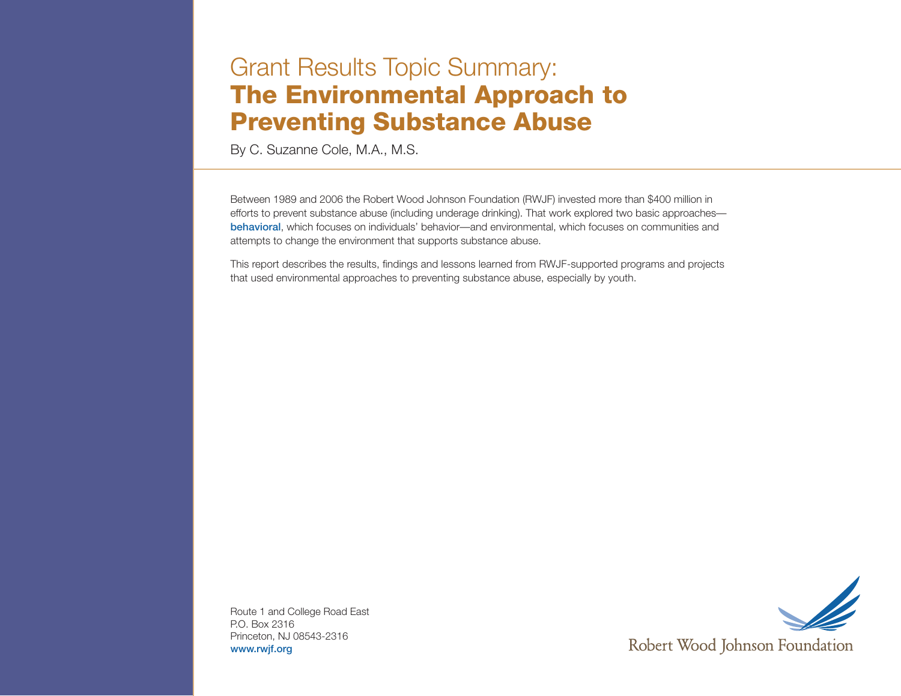# Grant Results Topic Summary: The Environmental Approach to Preventing Substance Abuse

By C. Suzanne Cole, M.A., M.S.

Between 1989 and 2006 the Robert Wood Johnson Foundation (RWJF) invested more than \$400 million in efforts to prevent substance abuse (including underage drinking). That work explored two basic approaches [behavioral](http://www.rwjf.org/programareas/resources/product.jsp?id=22336), which focuses on individuals' behavior—and environmental, which focuses on communities and attempts to change the environment that supports substance abuse.

This report describes the results, findings and lessons learned from RWJF-supported programs and projects that used environmental approaches to preventing substance abuse, especially by youth.

Route 1 and College Road East P.O. Box 2316 Princeton, NJ 08543-2316 [www.rwjf.org](http://www.rwjf.org)

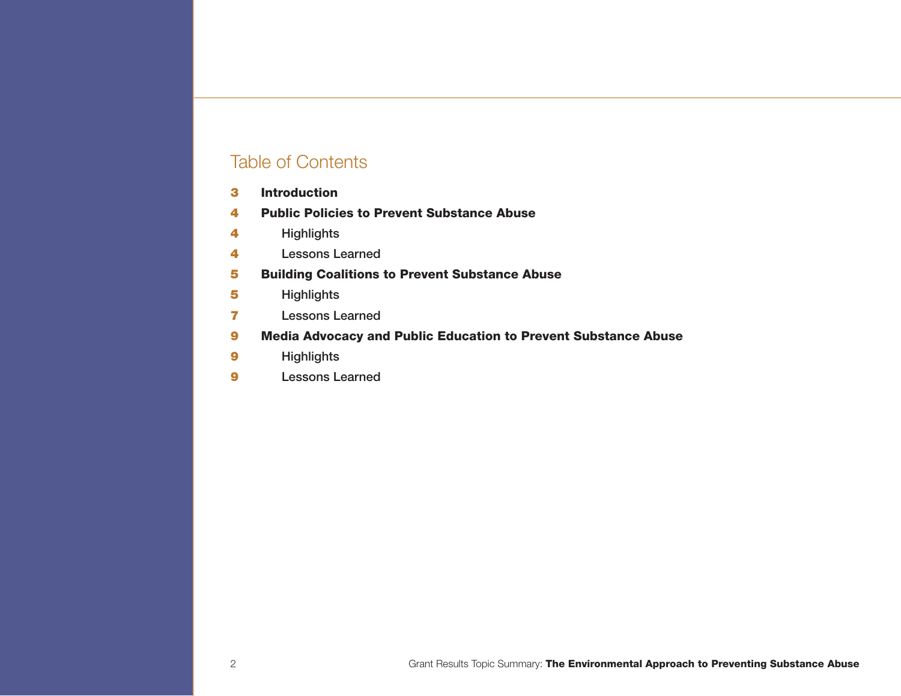## Table of Contents

- [Introduction](#page-2-0)
- [Public Policies to Prevent Substance Abuse](#page-3-0)
- [Highlights](#page-3-0)
- [Lessons Learned](#page-3-0)
- [Building Coalitions to Prevent Substance Abuse](#page-4-0)
- [Highlights](#page-4-0)
- [Lessons Learned](#page-6-0)
- [Media Advocacy and Public Education to Prevent Substance Abuse](#page-8-0)
- [Highlights](#page-8-0)
- [Lessons Learned](#page-8-0)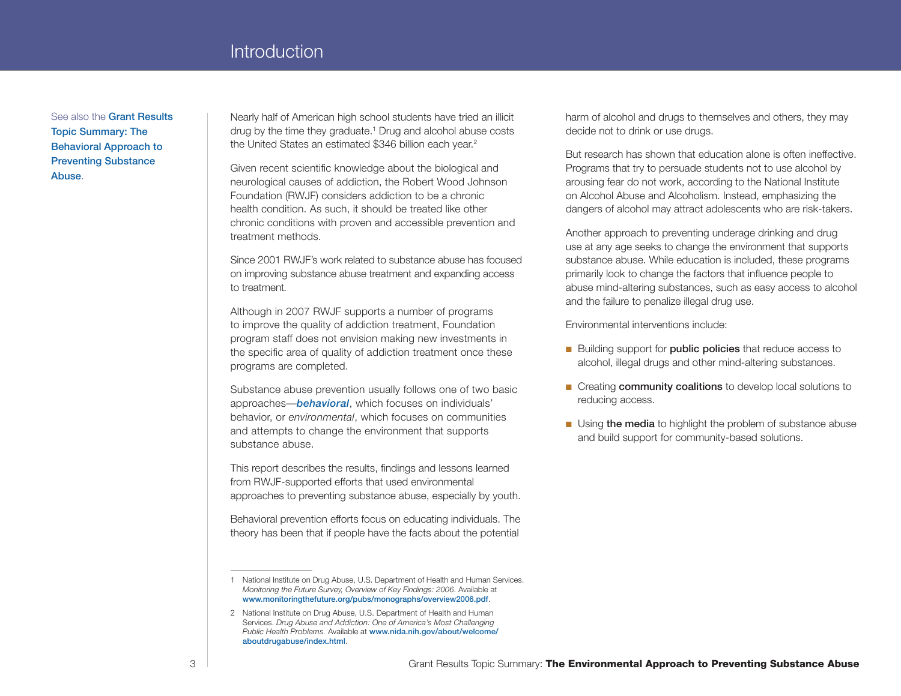### **Introduction**

<span id="page-2-0"></span>See also the [Grant Results](http://www.rwjf.org/programareas/resources/product.jsp?id=22336)  [Topic Summary: The](http://www.rwjf.org/programareas/resources/product.jsp?id=22336)  [Behavioral Approach to](http://www.rwjf.org/programareas/resources/product.jsp?id=22336)  [Preventing Substance](http://www.rwjf.org/programareas/resources/product.jsp?id=22336)  [Abuse](http://www.rwjf.org/programareas/resources/product.jsp?id=22336).

Nearly half of American high school students have tried an illicit drug by the time they graduate.<sup>1</sup> Drug and alcohol abuse costs the United States an estimated \$346 billion each year.<sup>2</sup>

Given recent scientific knowledge about the biological and neurological causes of addiction, the Robert Wood Johnson Foundation (RWJF) considers addiction to be a chronic health condition. As such, it should be treated like other chronic conditions with proven and accessible prevention and treatment methods.

Since 2001 RWJF's work related to substance abuse has focused on improving substance abuse treatment and expanding access to treatment*.*

Although in 2007 RWJF supports a number of programs to improve the quality of addiction treatment, Foundation program staff does not envision making new investments in the specific area of quality of addiction treatment once these programs are completed.

Substance abuse prevention usually follows one of two basic approaches—*[behavioral](http://www.rwjf.org/programareas/resources/product.jsp?id=22336)*, which focuses on individuals' behavior, or *environmental*, which focuses on communities and attempts to change the environment that supports substance abuse.

This report describes the results, findings and lessons learned from RWJF-supported efforts that used environmental approaches to preventing substance abuse, especially by youth.

Behavioral prevention efforts focus on educating individuals. The theory has been that if people have the facts about the potential

harm of alcohol and drugs to themselves and others, they may decide not to drink or use drugs.

But research has shown that education alone is often ineffective. Programs that try to persuade students not to use alcohol by arousing fear do not work, according to the National Institute on Alcohol Abuse and Alcoholism. Instead, emphasizing the dangers of alcohol may attract adolescents who are risk-takers.

Another approach to preventing underage drinking and drug use at any age seeks to change the environment that supports substance abuse. While education is included, these programs primarily look to change the factors that influence people to abuse mind-altering substances, such as easy access to alcohol and the failure to penalize illegal drug use.

Environmental interventions include:

- Building support for **public policies** that reduce access to alcohol, illegal drugs and other mind-altering substances.
- Creating **community coalitions** to develop local solutions to reducing access.
- Using the media to highlight the problem of substance abuse and build support for community-based solutions.

<sup>1</sup> National Institute on Drug Abuse, U.S. Department of Health and Human Services. *Monitoring the Future Survey, Overview of Key Findings: 2006*. Available at [www.monitoringthefuture.org/pubs/monographs/overview2006.pdf](http://www.monitoringthefuture.org/pubs/monographs/overview2006.pdf).

<sup>2</sup> National Institute on Drug Abuse, U.S. Department of Health and Human Services. *Drug Abuse and Addiction: One of America's Most Challenging Public Health Problems.* Available at [www.nida.nih.gov/about/welcome/](http://www.nida.nih.gov/about/welcome/aboutdrugabuse/index.html) [aboutdrugabuse/index.html](http://www.nida.nih.gov/about/welcome/aboutdrugabuse/index.html).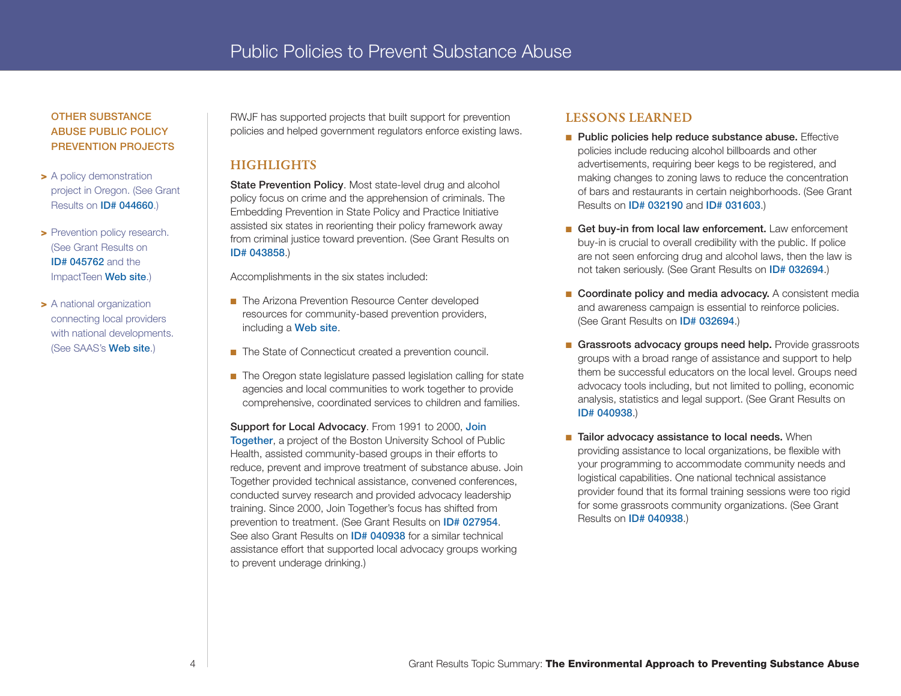#### <span id="page-3-0"></span>Other substance abuse public policy prevention projects

- > A policy demonstration project in Oregon. (See Grant Results on [ID# 044660](http://www.rwjf.org/reports/grr/044660.htm).)
- > Prevention policy research. (See Grant Results on [ID# 045762](http://www.rwjf.org/reports/grr/045762.htm) and the ImpactTeen [Web site](http://www.impacteen.org).)
- > A national organization connecting local providers with national developments. (See SAAS's [Web site](http://www.saasnet.org/).)

RWJF has supported projects that built support for prevention policies and helped government regulators enforce existing laws.

#### **HIGHLIGHTS**

State Prevention Policy. Most state-level drug and alcohol policy focus on crime and the apprehension of criminals. The Embedding Prevention in State Policy and Practice Initiative assisted six states in reorienting their policy framework away from criminal justice toward prevention. (See Grant Results on [ID# 043858](http://www.rwjf.org/reports/grr/043858.htm).)

Accomplishments in the six states included:

- The Arizona Prevention Resource Center developed resources for community-based prevention providers, including a [Web site](http://www.azprevention.org).
- The State of Connecticut created a prevention council.
- The Oregon state legislature passed legislation calling for state agencies and local communities to work together to provide comprehensive, coordinated services to children and families.

Support for Local Advocacy. From 1991 to 2000, Join [Together](http://www.jointogether.org/), a project of the Boston University School of Public Health, assisted community-based groups in their efforts to reduce, prevent and improve treatment of substance abuse. Join Together provided technical assistance, convened conferences, conducted survey research and provided advocacy leadership training. Since 2000, Join Together's focus has shifted from prevention to treatment. (See Grant Results on [ID# 027954](http://www.rwjf.org/reports/grr/027954.htm). See also Grant Results on **[ID# 040938](http://www.rwjf.org/reports/grr/040938.htm)** for a similar technical assistance effort that supported local advocacy groups working to prevent underage drinking.)

#### Lessons Learned

- Public policies help reduce substance abuse. Effective policies include reducing alcohol billboards and other advertisements, requiring beer kegs to be registered, and making changes to zoning laws to reduce the concentration of bars and restaurants in certain neighborhoods. (See Grant Results on [ID# 032190](http://www.rwjf.org/reports/grr/032190s.htm) and [ID# 031603](http://www.rwjf.org/reports/grr/031603.htm).)
- Get buy-in from local law enforcement. Law enforcement buy-in is crucial to overall credibility with the public. If police are not seen enforcing drug and alcohol laws, then the law is not taken seriously. (See Grant Results on [ID# 032694](http://www.rwjf.org/reports/grr/032694s.htm).)
- Coordinate policy and media advocacy. A consistent media and awareness campaign is essential to reinforce policies. (See Grant Results on [ID# 032694](http://www.rwjf.org/reports/grr/032694s.htm).)
- Grassroots advocacy groups need help. Provide grassroots groups with a broad range of assistance and support to help them be successful educators on the local level. Groups need advocacy tools including, but not limited to polling, economic analysis, statistics and legal support. (See Grant Results on [ID# 040938](http://www.rwjf.org/reports/grr/040938.htm).)
- Tailor advocacy assistance to local needs. When providing assistance to local organizations, be flexible with your programming to accommodate community needs and logistical capabilities. One national technical assistance provider found that its formal training sessions were too rigid for some grassroots community organizations. (See Grant Results on [ID# 040938](http://www.rwjf.org/reports/grr/040938.htm).)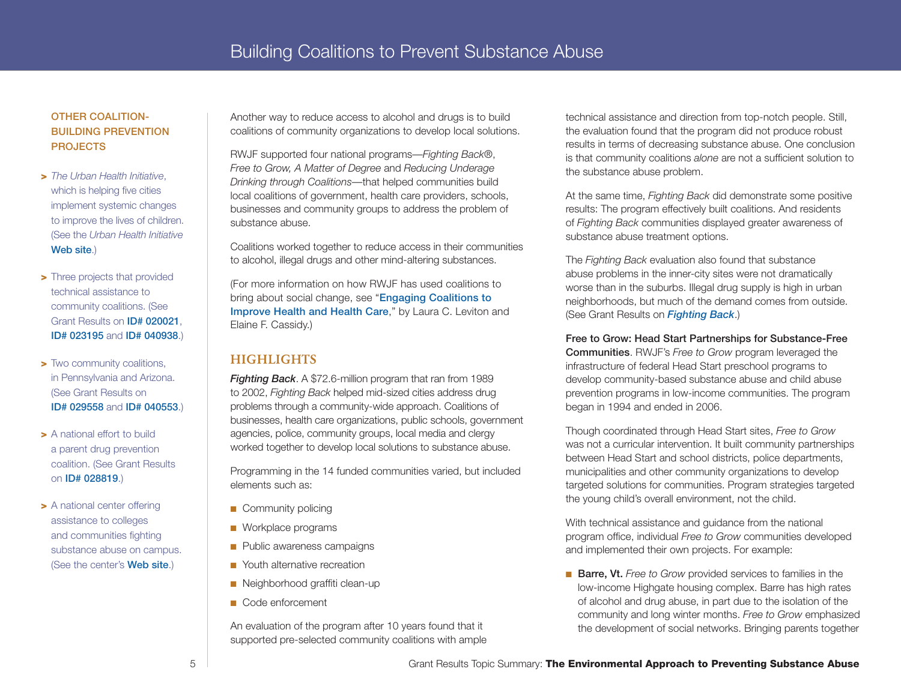#### <span id="page-4-0"></span>OTHER COALITIONbuilding prevention **PROJECTS**

- > *The Urban Health Initiative*, which is helping five cities implement systemic changes to improve the lives of children. (See the *Urban Health Initiative* [Web site](http://www.urbanhealth.org/).)
- > Three projects that provided technical assistance to community coalitions. (See Grant Results on [ID# 020021](http://www.rwjf.org/reports/grr/020021s.htm), [ID# 023195](http://www.rwjf.org/reports/grr/023195s.htm) and [ID# 040938](http://www.rwjf.org/reports/grr/040938.htm).)
- > Two community coalitions, in Pennsylvania and Arizona. (See Grant Results on [ID# 029558](http://www.rwjf.org/reports/grr/029558s.htm?gsa=1) and [ID# 040553](http://www.rwjf.org/reports/grr/040553.htm).)
- > A national effort to build a parent drug prevention coalition. (See Grant Results on [ID# 028819](http://www.rwjf.org/reports/grr/028819s.htm).)
- > A national center offering assistance to colleges and communities fighting substance abuse on campus. (See the center's **[Web site](http://www.higheredcenter.org).)**

Another way to reduce access to alcohol and drugs is to build coalitions of community organizations to develop local solutions.

RWJF supported four national programs—*Fighting Back®*, *Free to Grow, A Matter of Degree* and *Reducing Underage Drinking through Coalitions*—that helped communities build local coalitions of government, health care providers, schools, businesses and community groups to address the problem of substance abuse.

Coalitions worked together to reduce access in their communities to alcohol, illegal drugs and other mind-altering substances.

(For more information on how RWJF has used coalitions to bring about social change, see "Engaging Coalitions to [Improve Health and Health Care](http://www.rwjf.org/files/publications/books/2007/AnthologyX_CH10.pdf)," by Laura C. Leviton and Elaine F. Cassidy.)

#### **HIGHLIGHTS**

*Fighting Back*. A \$72.6-million program that ran from 1989 to 2002, *Fighting Back* helped mid-sized cities address drug problems through a community-wide approach. Coalitions of businesses, health care organizations, public schools, government agencies, police, community groups, local media and clergy worked together to develop local solutions to substance abuse.

Programming in the 14 funded communities varied, but included elements such as:

- Community policing
- Workplace programs
- Public awareness campaigns
- Youth alternative recreation
- Neighborhood graffiti clean-up
- Code enforcement

An evaluation of the program after 10 years found that it supported pre-selected community coalitions with ample technical assistance and direction from top-notch people. Still, the evaluation found that the program did not produce robust results in terms of decreasing substance abuse. One conclusion is that community coalitions *alone* are not a sufficient solution to the substance abuse problem.

At the same time, *Fighting Back* did demonstrate some positive results: The program effectively built coalitions. And residents of *Fighting Back* communities displayed greater awareness of substance abuse treatment options.

The *Fighting Back* evaluation also found that substance abuse problems in the inner-city sites were not dramatically worse than in the suburbs. Illegal drug supply is high in urban neighborhoods, but much of the demand comes from outside. (See Grant Results on *[Fighting Back](http://www.rwjf.org/reports/npreports/fightingback.htm)*.)

Free to Grow: Head Start Partnerships for Substance-Free Communities. RWJF's *[Free to Grow](http://www.freetogrow.org/)* program leveraged the infrastructure of federal Head Start preschool programs to develop community-based substance abuse and child abuse prevention programs in low-income communities. The program began in 1994 and ended in 2006.

Though coordinated through Head Start sites, *Free to Grow* was not a curricular intervention. It built community partnerships between Head Start and school districts, police departments, municipalities and other community organizations to develop targeted solutions for communities. Program strategies targeted the young child's overall environment, not the child.

With technical assistance and guidance from the national program office, individual *Free to Grow* communities developed and implemented their own projects. For example:

■ **Barre, Vt.** Free to Grow provided services to families in the low-income Highgate housing complex. Barre has high rates of alcohol and drug abuse, in part due to the isolation of the community and long winter months. *Free to Grow* emphasized the development of social networks. Bringing parents together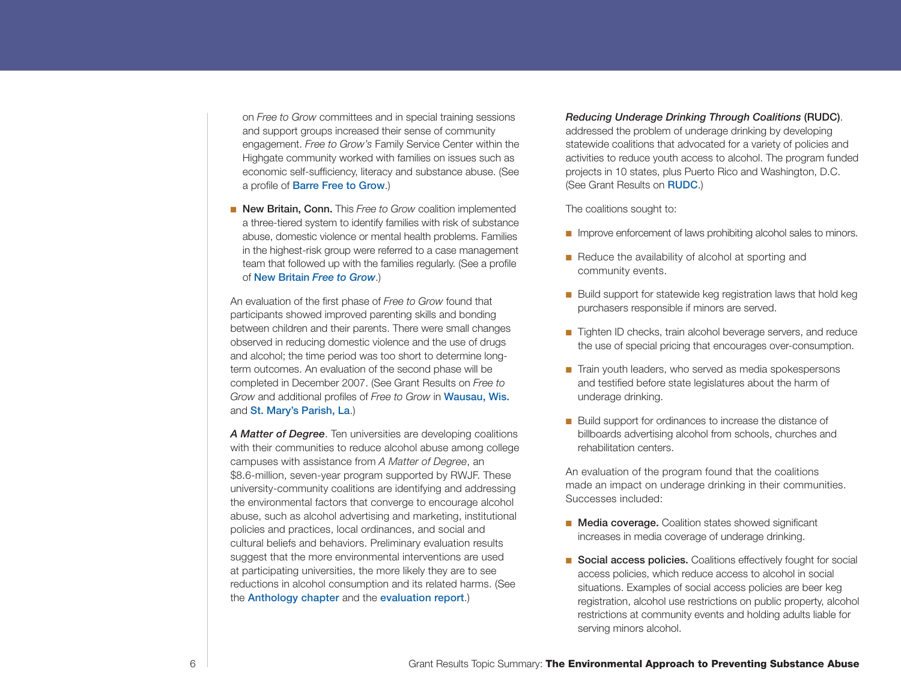on *Free to Grow* committees and in special training sessions and support groups increased their sense of community engagement. *Free to Grow's* Family Service Center within the Highgate community worked with families on issues such as economic self-sufficiency, literacy and substance abuse. (See a profile of [Barre Free to Grow](http://www.rwjf.org/reports/npreports/vermont.pdf).)

■ New Britain, Conn. This *Free to Grow* coalition implemented a three-tiered system to identify families with risk of substance abuse, domestic violence or mental health problems. Families in the highest-risk group were referred to a case management team that followed up with the families regularly. (See a profile of New Britain *[Free to Grow](http://www.rwjf.org/reports/npreports/connecticut.pdf)*.)

An evaluation of the first phase of *Free to Grow* found that participants showed improved parenting skills and bonding between children and their parents. There were small changes observed in reducing domestic violence and the use of drugs and alcohol; the time period was too short to determine longterm outcomes. An evaluation of the second phase will be completed in December 2007. (See Grant Results on *[Free to](http://www.rwjf.org/reports/npreports/freetogrow.htm)  [Grow](http://www.rwjf.org/reports/npreports/freetogrow.htm)* and additional profiles of *[Free to Grow](http://www.rwjf.org/reports/npreports/wausau.pdf)* in [Wausau, Wis.](http://www.rwjf.org/reports/npreports/wausau.pdf) and [St. Mary's Parish, La](http://www.rwjf.org/reports/npreports/stmary.pdf).)

*A Matter of Degree*. Ten universities are developing coalitions with their communities to reduce alcohol abuse among college campuses with assistance from *A Matter of Degree*, an \$8.6-million, seven-year program supported by RWJF. These university-community coalitions are identifying and addressing the environmental factors that converge to encourage alcohol abuse, such as alcohol advertising and marketing, institutional policies and practices, local ordinances, and social and cultural beliefs and behaviors. Preliminary evaluation results suggest that the more environmental interventions are used at participating universities, the more likely they are to see reductions in alcohol consumption and its related harms. (See the [Anthology chapter](http://www.rwjf.org/pr/product.jsp?id=14964&topicid=1369&gsa=8) and the [evaluation report](http://www.rwjf.org/pr/product.jsp?ia=131&id=14848&gsa=1).)

*Reducing Underage Drinking Through Coalitions* (RUDC). addressed the problem of underage drinking by developing statewide coalitions that advocated for a variety of policies and activities to reduce youth access to alcohol. The program funded projects in 10 states, plus Puerto Rico and Washington, D.C. (See Grant Results on [RUDC](http://www.rwjf.org/reports/npreports/rudc.htm).)

The coalitions sought to:

- Improve enforcement of laws prohibiting alcohol sales to minors.
- Reduce the availability of alcohol at sporting and community events.
- Build support for statewide keg registration laws that hold keg purchasers responsible if minors are served.
- Tighten ID checks, train alcohol beverage servers, and reduce the use of special pricing that encourages over-consumption.
- Train youth leaders, who served as media spokespersons and testified before state legislatures about the harm of underage drinking.
- Build support for ordinances to increase the distance of billboards advertising alcohol from schools, churches and rehabilitation centers.

An evaluation of the program found that the coalitions made an impact on underage drinking in their communities. Successes included:

- Media coverage. Coalition states showed significant increases in media coverage of underage drinking.
- Social access policies. Coalitions effectively fought for social access policies, which reduce access to alcohol in social situations. Examples of social access policies are beer keg registration, alcohol use restrictions on public property, alcohol restrictions at community events and holding adults liable for serving minors alcohol.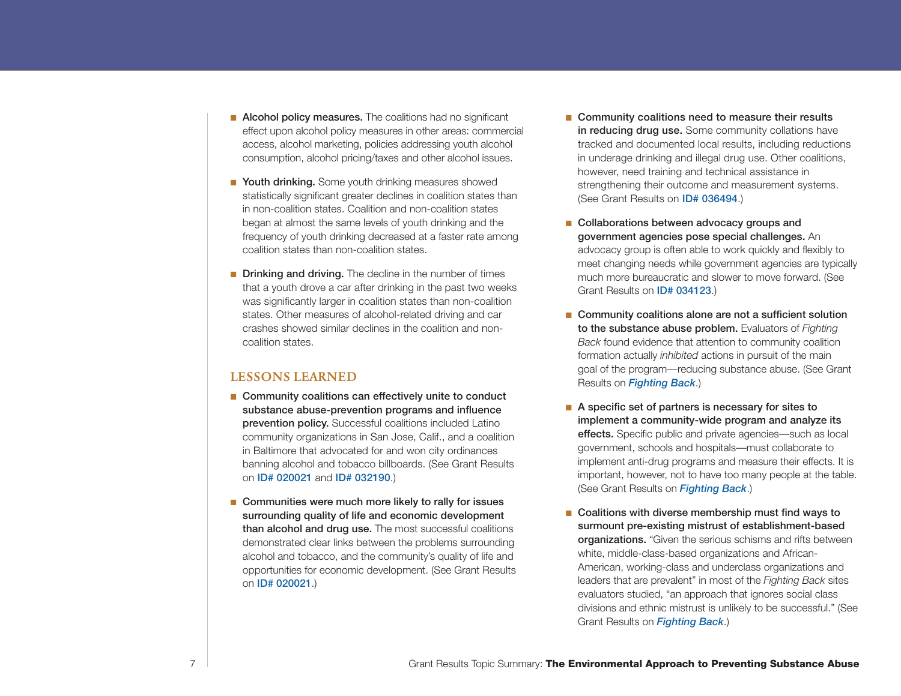- <span id="page-6-0"></span>■ Alcohol policy measures. The coalitions had no significant effect upon alcohol policy measures in other areas: commercial access, alcohol marketing, policies addressing youth alcohol consumption, alcohol pricing/taxes and other alcohol issues.
- Youth drinking. Some youth drinking measures showed statistically significant greater declines in coalition states than in non-coalition states. Coalition and non-coalition states began at almost the same levels of youth drinking and the frequency of youth drinking decreased at a faster rate among coalition states than non-coalition states.
- Drinking and driving. The decline in the number of times that a youth drove a car after drinking in the past two weeks was significantly larger in coalition states than non-coalition states. Other measures of alcohol-related driving and car crashes showed similar declines in the coalition and noncoalition states.

#### Lessons Learned

- Community coalitions can effectively unite to conduct substance abuse-prevention programs and influence prevention policy. Successful coalitions included Latino community organizations in San Jose, Calif., and a coalition in Baltimore that advocated for and won city ordinances banning alcohol and tobacco billboards. (See Grant Results on [ID# 020021](http://www.rwjf.org/reports/grr/020021s.htm) and [ID# 032190](http://www.rwjf.org/reports/grr/032190s.htm).)
- Communities were much more likely to rally for issues surrounding quality of life and economic development than alcohol and drug use. The most successful coalitions demonstrated clear links between the problems surrounding alcohol and tobacco, and the community's quality of life and opportunities for economic development. (See Grant Results on [ID# 020021](http://www.rwjf.org/reports/grr/020021s.htm).)
- Community coalitions need to measure their results in reducing drug use. Some community collations have tracked and documented local results, including reductions in underage drinking and illegal drug use. Other coalitions, however, need training and technical assistance in strengthening their outcome and measurement systems. (See Grant Results on [ID# 036494](http://www.rwjf.org/reports/grr/036494.htm).)
- Collaborations between advocacy groups and government agencies pose special challenges. An advocacy group is often able to work quickly and flexibly to meet changing needs while government agencies are typically much more bureaucratic and slower to move forward. (See Grant Results on [ID# 034123](http://www.rwjf.org/reports/grr/034123.htm).)
- Community coalitions alone are not a sufficient solution to the substance abuse problem. Evaluators of *Fighting Back* found evidence that attention to community coalition formation actually *inhibited* actions in pursuit of the main goal of the program—reducing substance abuse. (See Grant Results on *[Fighting Back](http://www.rwjf.org/reports/npreports/fightingback.htm#LESSONSLEARNED)*.)
- A specific set of partners is necessary for sites to implement a community-wide program and analyze its effects. Specific public and private agencies—such as local government, schools and hospitals—must collaborate to implement anti-drug programs and measure their effects. It is important, however, not to have too many people at the table. (See Grant Results on *[Fighting Back](http://www.rwjf.org/reports/npreports/fightingback.htm#LESSONSLEARNED)*.)
- Coalitions with diverse membership must find ways to surmount pre-existing mistrust of establishment-based organizations. "Given the serious schisms and rifts between white, middle-class-based organizations and African-American, working-class and underclass organizations and leaders that are prevalent" in most of the *Fighting Back* sites evaluators studied, "an approach that ignores social class divisions and ethnic mistrust is unlikely to be successful." (See Grant Results on *[Fighting Back](http://www.rwjf.org/reports/npreports/fightingback.htm#LESSONSLEARNED)*.)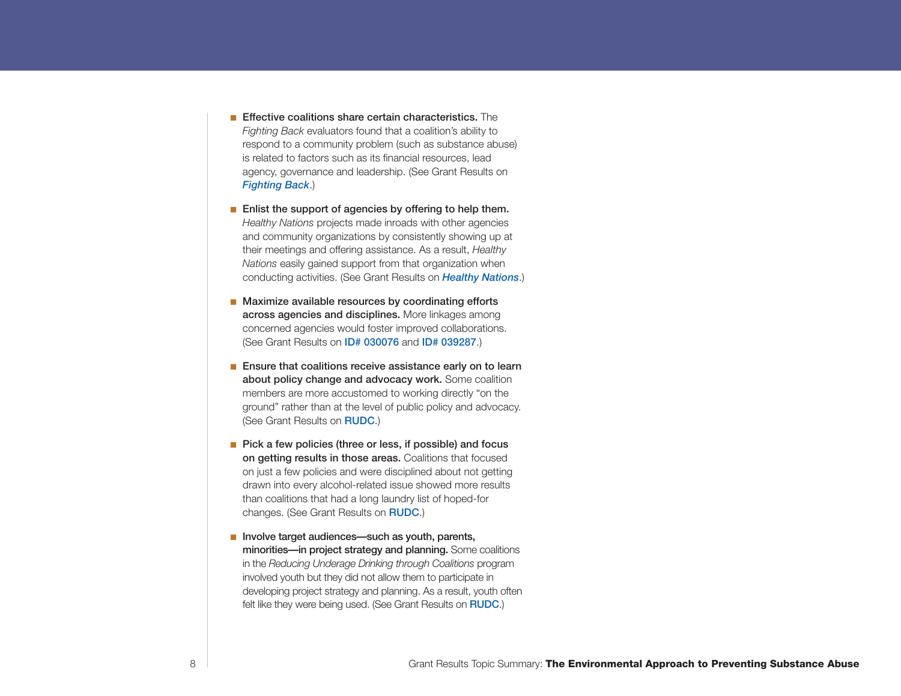- Effective coalitions share certain characteristics. The *Fighting Back* evaluators found that a coalition's ability to respond to a community problem (such as substance abuse) is related to factors such as its financial resources, lead agency, governance and leadership. (See Grant Results on *[Fighting Back](http://www.rwjf.org/reports/npreports/fightingback.htm#LESSONSLEARNED)*.)
- Enlist the support of agencies by offering to help them. *Healthy Nations* projects made inroads with other agencies and community organizations by consistently showing up at their meetings and offering assistance. As a result, *Healthy Nations* easily gained support from that organization when conducting activities. (See Grant Results on *[Healthy Nations](http://www.rwjf.org/reports/npreports/HealthyNations.htm)*.)
- Maximize available resources by coordinating efforts across agencies and disciplines. More linkages among concerned agencies would foster improved collaborations. (See Grant Results on [ID# 030076](http://www.rwjf.org/reports/grr/030076s.htm) and [ID# 039287](http://www.rwjf.org/reports/grr/039287.htm).)
- Ensure that coalitions receive assistance early on to learn about policy change and advocacy work. Some coalition members are more accustomed to working directly "on the ground" rather than at the level of public policy and advocacy. (See Grant Results on [RUDC](http://www.rwjf.org/reports/npreports/rudc.htm).)
- Pick a few policies (three or less, if possible) and focus on getting results in those areas. Coalitions that focused on just a few policies and were disciplined about not getting drawn into every alcohol-related issue showed more results than coalitions that had a long laundry list of hoped-for changes. (See Grant Results on [RUDC](http://www.rwjf.org/reports/npreports/rudc.htm).)
- Involve target audiences—such as youth, parents, minorities—in project strategy and planning. Some coalitions in the *Reducing Underage Drinking through Coalitions* program involved youth but they did not allow them to participate in developing project strategy and planning. As a result, youth often felt like they were being used. (See Grant Results on **[RUDC](http://www.rwjf.org/reports/npreports/rudc.htm)**.)